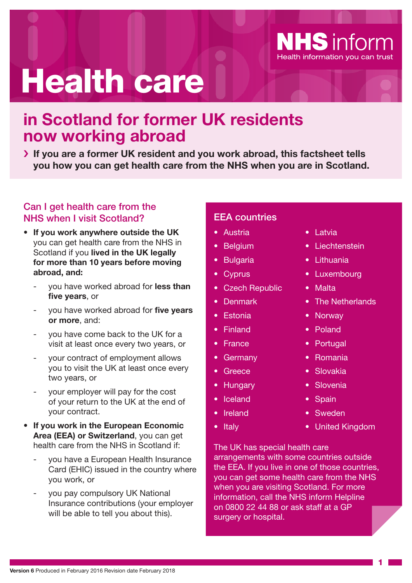# Health care

# **in Scotland for former UK residents now working abroad**

**If you are a former UK resident and you work abroad, this factsheet tells you how you can get health care from the NHS when you are in Scotland.**

## Can I get health care from the NHS when I visit Scotland?

- **If you work anywhere outside the UK** you can get health care from the NHS in Scotland if you **lived in the UK legally for more than 10 years before moving abroad, and:**
	- you have worked abroad for **less than five years**, or
	- you have worked abroad for **five years or more**, and:
	- you have come back to the UK for a visit at least once every two years, or
	- your contract of employment allows you to visit the UK at least once every two years, or
	- your employer will pay for the cost of your return to the UK at the end of your contract.
- **If you work in the European Economic Area (EEA) or Switzerland**, you can get health care from the NHS in Scotland if:
	- you have a European Health Insurance Card (EHIC) issued in the country where you work, or
	- you pay compulsory UK National Insurance contributions (your employer will be able to tell you about this).

#### EEA countries

- Austria
- **Belgium**
- **Bulgaria**
- Cyprus
- Czech Republic
- Denmark
- Estonia
- Finland
- France
- Germany
- Greece
- Hungary
- Iceland
- Ireland
- Italy
- Latvia
- Liechtenstein

**NHS** inform

Health information you can trust

- Lithuania
- Luxembourg
- Malta
- The Netherlands
- Norway
- Poland
- Portugal
- Romania
- Slovakia
- Slovenia
- Spain
- Sweden
- United Kingdom

The UK has special health care arrangements with some countries outside the EEA. If you live in one of those countries, you can get some health care from the NHS when you are visiting Scotland. For more information, call the NHS inform Helpline on 0800 22 44 88 or ask staff at a GP surgery or hospital.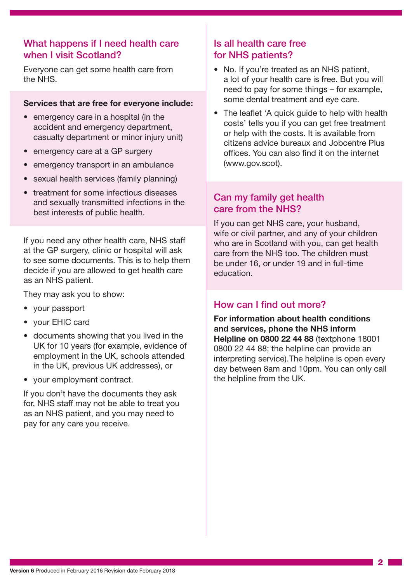#### What happens if I need health care when I visit Scotland?

Everyone can get some health care from the NHS.

#### **Services that are free for everyone include:**

- emergency care in a hospital (in the accident and emergency department, casualty department or minor injury unit)
- emergency care at a GP surgery
- emergency transport in an ambulance
- sexual health services (family planning)
- treatment for some infectious diseases and sexually transmitted infections in the best interests of public health.

If you need any other health care, NHS staff at the GP surgery, clinic or hospital will ask to see some documents. This is to help them decide if you are allowed to get health care as an NHS patient.

They may ask you to show:

- your passport
- your EHIC card
- documents showing that you lived in the UK for 10 years (for example, evidence of employment in the UK, schools attended in the UK, previous UK addresses), or
- your employment contract.

If you don't have the documents they ask for, NHS staff may not be able to treat you as an NHS patient, and you may need to pay for any care you receive.

### Is all health care free for NHS patients?

- No. If you're treated as an NHS patient, a lot of your health care is free. But you will need to pay for some things – for example, some dental treatment and eye care.
- The leaflet 'A quick guide to help with health costs' tells you if you can get free treatment or help with the costs. It is available from citizens advice bureaux and Jobcentre Plus offices. You can also find it on the internet (www.gov.scot).

### Can my family get health care from the NHS?

If you can get NHS care, your husband, wife or civil partner, and any of your children who are in Scotland with you, can get health care from the NHS too. The children must be under 16, or under 19 and in full-time education.

#### How can I find out more?

**For information about health conditions and services, phone the NHS inform Helpline on 0800 22 44 88** (textphone 18001 0800 22 44 88; the helpline can provide an interpreting service).The helpline is open every day between 8am and 10pm. You can only call the helpline from the UK.